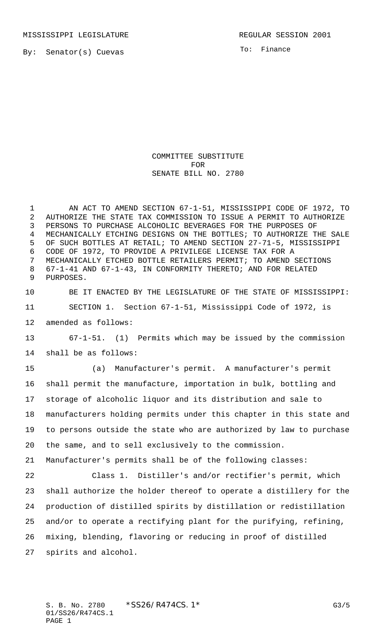MISSISSIPPI LEGISLATURE **REGULAR SESSION 2001** 

To: Finance

COMMITTEE SUBSTITUTE FOR SENATE BILL NO. 2780

 AN ACT TO AMEND SECTION 67-1-51, MISSISSIPPI CODE OF 1972, TO AUTHORIZE THE STATE TAX COMMISSION TO ISSUE A PERMIT TO AUTHORIZE PERSONS TO PURCHASE ALCOHOLIC BEVERAGES FOR THE PURPOSES OF MECHANICALLY ETCHING DESIGNS ON THE BOTTLES; TO AUTHORIZE THE SALE OF SUCH BOTTLES AT RETAIL; TO AMEND SECTION 27-71-5, MISSISSIPPI CODE OF 1972, TO PROVIDE A PRIVILEGE LICENSE TAX FOR A MECHANICALLY ETCHED BOTTLE RETAILERS PERMIT; TO AMEND SECTIONS 67-1-41 AND 67-1-43, IN CONFORMITY THERETO; AND FOR RELATED PURPOSES.

 BE IT ENACTED BY THE LEGISLATURE OF THE STATE OF MISSISSIPPI: SECTION 1. Section 67-1-51, Mississippi Code of 1972, is amended as follows:

 67-1-51. (1) Permits which may be issued by the commission shall be as follows:

 (a) Manufacturer's permit. A manufacturer's permit shall permit the manufacture, importation in bulk, bottling and storage of alcoholic liquor and its distribution and sale to manufacturers holding permits under this chapter in this state and to persons outside the state who are authorized by law to purchase the same, and to sell exclusively to the commission. Manufacturer's permits shall be of the following classes:

 Class 1. Distiller's and/or rectifier's permit, which shall authorize the holder thereof to operate a distillery for the production of distilled spirits by distillation or redistillation and/or to operate a rectifying plant for the purifying, refining, mixing, blending, flavoring or reducing in proof of distilled spirits and alcohol.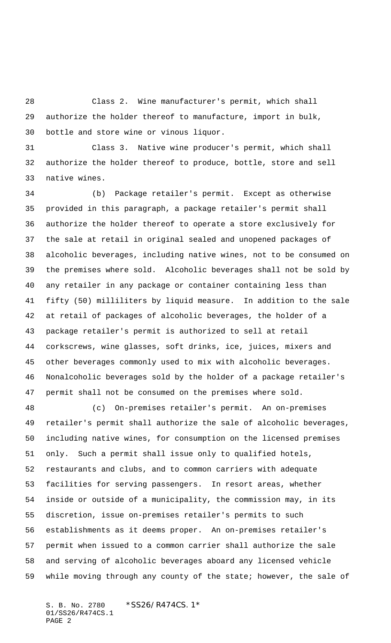Class 2. Wine manufacturer's permit, which shall authorize the holder thereof to manufacture, import in bulk, bottle and store wine or vinous liquor.

 Class 3. Native wine producer's permit, which shall authorize the holder thereof to produce, bottle, store and sell native wines.

 (b) Package retailer's permit. Except as otherwise provided in this paragraph, a package retailer's permit shall authorize the holder thereof to operate a store exclusively for the sale at retail in original sealed and unopened packages of alcoholic beverages, including native wines, not to be consumed on the premises where sold. Alcoholic beverages shall not be sold by any retailer in any package or container containing less than fifty (50) milliliters by liquid measure. In addition to the sale at retail of packages of alcoholic beverages, the holder of a package retailer's permit is authorized to sell at retail corkscrews, wine glasses, soft drinks, ice, juices, mixers and other beverages commonly used to mix with alcoholic beverages. Nonalcoholic beverages sold by the holder of a package retailer's permit shall not be consumed on the premises where sold.

 (c) On-premises retailer's permit. An on-premises retailer's permit shall authorize the sale of alcoholic beverages, including native wines, for consumption on the licensed premises only. Such a permit shall issue only to qualified hotels, restaurants and clubs, and to common carriers with adequate facilities for serving passengers. In resort areas, whether inside or outside of a municipality, the commission may, in its discretion, issue on-premises retailer's permits to such establishments as it deems proper. An on-premises retailer's permit when issued to a common carrier shall authorize the sale and serving of alcoholic beverages aboard any licensed vehicle while moving through any county of the state; however, the sale of

S. B. No. 2780 \*SS26/R474CS.1\* 01/SS26/R474CS.1 PAGE 2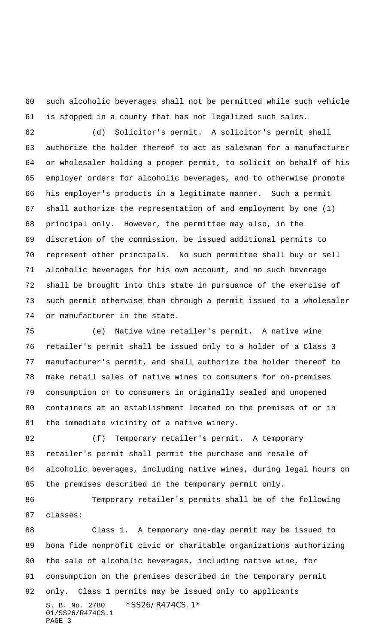such alcoholic beverages shall not be permitted while such vehicle is stopped in a county that has not legalized such sales.

 (d) Solicitor's permit. A solicitor's permit shall authorize the holder thereof to act as salesman for a manufacturer or wholesaler holding a proper permit, to solicit on behalf of his employer orders for alcoholic beverages, and to otherwise promote his employer's products in a legitimate manner. Such a permit shall authorize the representation of and employment by one (1) principal only. However, the permittee may also, in the discretion of the commission, be issued additional permits to represent other principals. No such permittee shall buy or sell alcoholic beverages for his own account, and no such beverage shall be brought into this state in pursuance of the exercise of such permit otherwise than through a permit issued to a wholesaler or manufacturer in the state.

 (e) Native wine retailer's permit. A native wine retailer's permit shall be issued only to a holder of a Class 3 manufacturer's permit, and shall authorize the holder thereof to make retail sales of native wines to consumers for on-premises consumption or to consumers in originally sealed and unopened containers at an establishment located on the premises of or in the immediate vicinity of a native winery.

 (f) Temporary retailer's permit. A temporary retailer's permit shall permit the purchase and resale of alcoholic beverages, including native wines, during legal hours on the premises described in the temporary permit only.

 Temporary retailer's permits shall be of the following classes:

S. B. No. 2780 \*SS26/R474CS. 1\* 01/SS26/R474CS.1 PAGE 3 Class 1. A temporary one-day permit may be issued to bona fide nonprofit civic or charitable organizations authorizing the sale of alcoholic beverages, including native wine, for consumption on the premises described in the temporary permit only. Class 1 permits may be issued only to applicants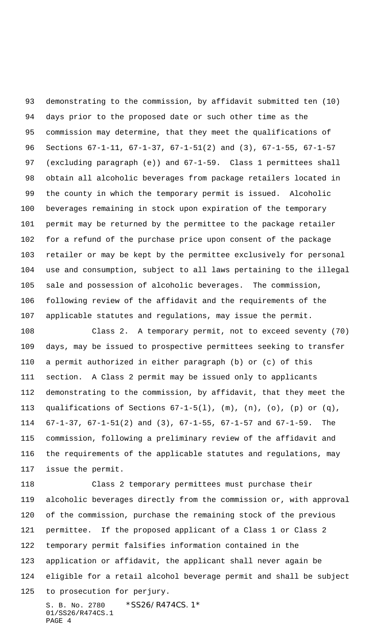demonstrating to the commission, by affidavit submitted ten (10) days prior to the proposed date or such other time as the commission may determine, that they meet the qualifications of Sections 67-1-11, 67-1-37, 67-1-51(2) and (3), 67-1-55, 67-1-57 (excluding paragraph (e)) and 67-1-59. Class 1 permittees shall obtain all alcoholic beverages from package retailers located in the county in which the temporary permit is issued. Alcoholic beverages remaining in stock upon expiration of the temporary permit may be returned by the permittee to the package retailer for a refund of the purchase price upon consent of the package retailer or may be kept by the permittee exclusively for personal use and consumption, subject to all laws pertaining to the illegal sale and possession of alcoholic beverages. The commission, following review of the affidavit and the requirements of the applicable statutes and regulations, may issue the permit.

 Class 2. A temporary permit, not to exceed seventy (70) days, may be issued to prospective permittees seeking to transfer a permit authorized in either paragraph (b) or (c) of this section. A Class 2 permit may be issued only to applicants demonstrating to the commission, by affidavit, that they meet the 113 qualifications of Sections  $67-1-5(1)$ ,  $(m)$ ,  $(n)$ ,  $(o)$ ,  $(p)$  or  $(q)$ , 67-1-37, 67-1-51(2) and (3), 67-1-55, 67-1-57 and 67-1-59. The commission, following a preliminary review of the affidavit and the requirements of the applicable statutes and regulations, may issue the permit.

S. B. No. 2780 \* SS26/R474CS. 1\* 01/SS26/R474CS.1 Class 2 temporary permittees must purchase their alcoholic beverages directly from the commission or, with approval of the commission, purchase the remaining stock of the previous permittee. If the proposed applicant of a Class 1 or Class 2 temporary permit falsifies information contained in the application or affidavit, the applicant shall never again be eligible for a retail alcohol beverage permit and shall be subject to prosecution for perjury.

PAGE 4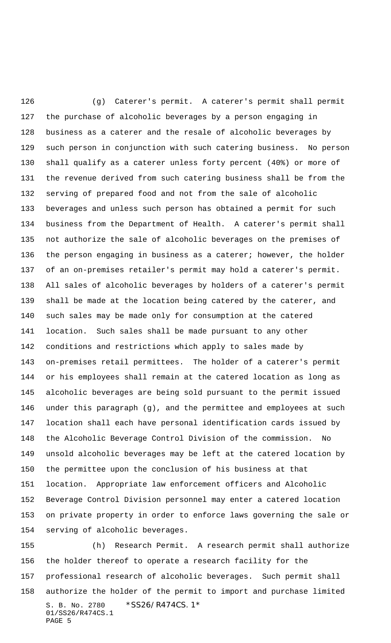(g) Caterer's permit. A caterer's permit shall permit the purchase of alcoholic beverages by a person engaging in business as a caterer and the resale of alcoholic beverages by such person in conjunction with such catering business. No person shall qualify as a caterer unless forty percent (40%) or more of the revenue derived from such catering business shall be from the serving of prepared food and not from the sale of alcoholic beverages and unless such person has obtained a permit for such business from the Department of Health. A caterer's permit shall not authorize the sale of alcoholic beverages on the premises of 136 the person engaging in business as a caterer; however, the holder of an on-premises retailer's permit may hold a caterer's permit. All sales of alcoholic beverages by holders of a caterer's permit shall be made at the location being catered by the caterer, and such sales may be made only for consumption at the catered location. Such sales shall be made pursuant to any other conditions and restrictions which apply to sales made by on-premises retail permittees. The holder of a caterer's permit or his employees shall remain at the catered location as long as alcoholic beverages are being sold pursuant to the permit issued under this paragraph (g), and the permittee and employees at such location shall each have personal identification cards issued by the Alcoholic Beverage Control Division of the commission. No unsold alcoholic beverages may be left at the catered location by the permittee upon the conclusion of his business at that location. Appropriate law enforcement officers and Alcoholic Beverage Control Division personnel may enter a catered location on private property in order to enforce laws governing the sale or serving of alcoholic beverages.

S. B. No. 2780 \* SS26/R474CS. 1\* 01/SS26/R474CS.1 PAGE 5 (h) Research Permit. A research permit shall authorize the holder thereof to operate a research facility for the professional research of alcoholic beverages. Such permit shall authorize the holder of the permit to import and purchase limited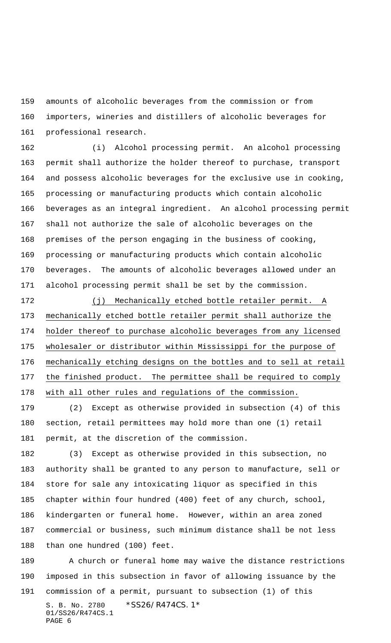amounts of alcoholic beverages from the commission or from importers, wineries and distillers of alcoholic beverages for professional research.

 (i) Alcohol processing permit. An alcohol processing permit shall authorize the holder thereof to purchase, transport and possess alcoholic beverages for the exclusive use in cooking, processing or manufacturing products which contain alcoholic beverages as an integral ingredient. An alcohol processing permit shall not authorize the sale of alcoholic beverages on the premises of the person engaging in the business of cooking, processing or manufacturing products which contain alcoholic beverages. The amounts of alcoholic beverages allowed under an alcohol processing permit shall be set by the commission.

 (j) Mechanically etched bottle retailer permit. A mechanically etched bottle retailer permit shall authorize the holder thereof to purchase alcoholic beverages from any licensed wholesaler or distributor within Mississippi for the purpose of mechanically etching designs on the bottles and to sell at retail the finished product. The permittee shall be required to comply with all other rules and regulations of the commission.

 (2) Except as otherwise provided in subsection (4) of this section, retail permittees may hold more than one (1) retail permit, at the discretion of the commission.

 (3) Except as otherwise provided in this subsection, no authority shall be granted to any person to manufacture, sell or store for sale any intoxicating liquor as specified in this chapter within four hundred (400) feet of any church, school, kindergarten or funeral home. However, within an area zoned commercial or business, such minimum distance shall be not less than one hundred (100) feet.

S. B. No. 2780 \*SS26/R474CS. 1\* 01/SS26/R474CS.1 PAGE 6 A church or funeral home may waive the distance restrictions imposed in this subsection in favor of allowing issuance by the commission of a permit, pursuant to subsection (1) of this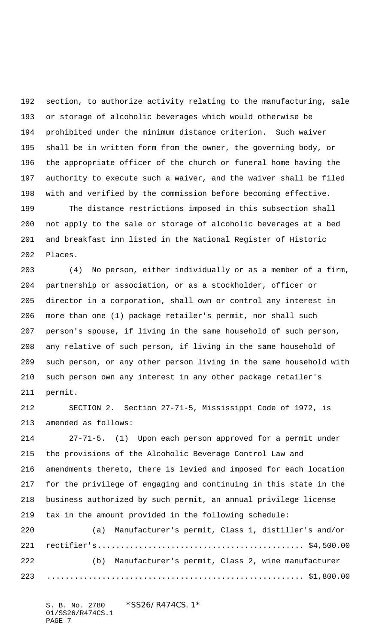section, to authorize activity relating to the manufacturing, sale or storage of alcoholic beverages which would otherwise be prohibited under the minimum distance criterion. Such waiver shall be in written form from the owner, the governing body, or the appropriate officer of the church or funeral home having the authority to execute such a waiver, and the waiver shall be filed with and verified by the commission before becoming effective.

 The distance restrictions imposed in this subsection shall not apply to the sale or storage of alcoholic beverages at a bed and breakfast inn listed in the National Register of Historic Places.

 (4) No person, either individually or as a member of a firm, partnership or association, or as a stockholder, officer or director in a corporation, shall own or control any interest in more than one (1) package retailer's permit, nor shall such person's spouse, if living in the same household of such person, any relative of such person, if living in the same household of such person, or any other person living in the same household with such person own any interest in any other package retailer's permit.

 SECTION 2. Section 27-71-5, Mississippi Code of 1972, is amended as follows:

 27-71-5. (1) Upon each person approved for a permit under the provisions of the Alcoholic Beverage Control Law and amendments thereto, there is levied and imposed for each location for the privilege of engaging and continuing in this state in the business authorized by such permit, an annual privilege license tax in the amount provided in the following schedule:

 (a) Manufacturer's permit, Class 1, distiller's and/or rectifier's............................................. \$4,500.00 (b) Manufacturer's permit, Class 2, wine manufacturer ........................................................ \$1,800.00

S. B. No. 2780 \*SS26/R474CS.1\* 01/SS26/R474CS.1 PAGE 7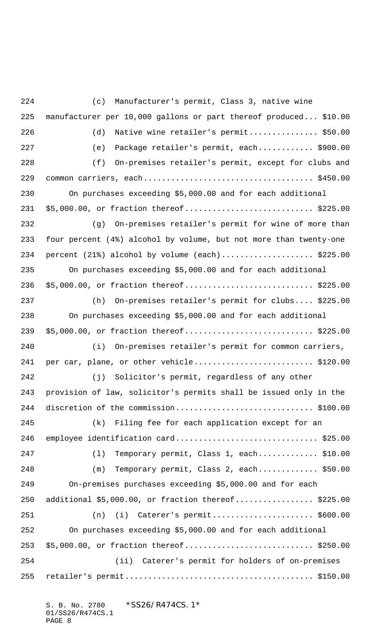(c) Manufacturer's permit, Class 3, native wine manufacturer per 10,000 gallons or part thereof produced... \$10.00 (d) Native wine retailer's permit............... \$50.00 (e) Package retailer's permit, each............ \$900.00 (f) On-premises retailer's permit, except for clubs and common carriers, each..................................... \$450.00 On purchases exceeding \$5,000.00 and for each additional 231 \$5,000.00, or fraction thereof................................ \$225.00 (g) On-premises retailer's permit for wine of more than four percent (4%) alcohol by volume, but not more than twenty-one 234 percent  $(21%)$  alcohol by volume  $(each)$ .......................\$225.00 On purchases exceeding \$5,000.00 and for each additional 236 \$5,000.00, or fraction thereof...............................\$225.00 (h) On-premises retailer's permit for clubs.... \$225.00 On purchases exceeding \$5,000.00 and for each additional 239 \$5,000.00, or fraction thereof................................ \$225.00 (i) On-premises retailer's permit for common carriers, 241 per car, plane, or other vehicle.............................\$120.00 (j) Solicitor's permit, regardless of any other provision of law, solicitor's permits shall be issued only in the discretion of the commission.............................. \$100.00 (k) Filing fee for each application except for an 246 employee identification card...................................\$25.00 (l) Temporary permit, Class 1, each............. \$10.00 (m) Temporary permit, Class 2, each............. \$50.00 On-premises purchases exceeding \$5,000.00 and for each additional \$5,000.00, or fraction thereof................. \$225.00 (n) (i) Caterer's permit...................... \$600.00 On purchases exceeding \$5,000.00 and for each additional 253 \$5,000.00, or fraction thereof................................ \$250.00 (ii) Caterer's permit for holders of on-premises retailer's permit......................................... \$150.00

S. B. No. 2780 \* SS26/R474CS. 1\* 01/SS26/R474CS.1 PAGE 8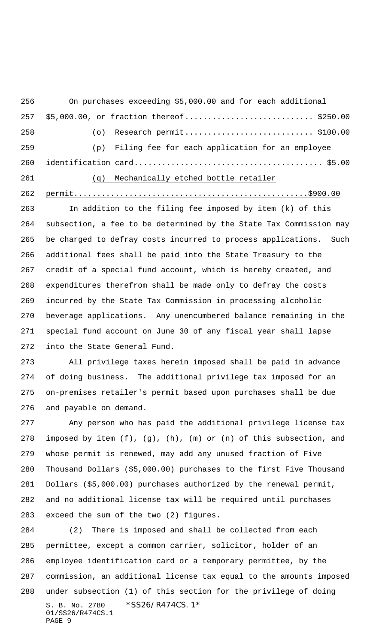On purchases exceeding \$5,000.00 and for each additional 257 \$5,000.00, or fraction thereof................................ \$250.00 (o) Research permit............................ \$100.00 (p) Filing fee for each application for an employee identification card......................................... \$5.00 (q) Mechanically etched bottle retailer

permit...................................................\$900.00

 In addition to the filing fee imposed by item (k) of this subsection, a fee to be determined by the State Tax Commission may be charged to defray costs incurred to process applications. Such additional fees shall be paid into the State Treasury to the credit of a special fund account, which is hereby created, and expenditures therefrom shall be made only to defray the costs incurred by the State Tax Commission in processing alcoholic beverage applications. Any unencumbered balance remaining in the special fund account on June 30 of any fiscal year shall lapse into the State General Fund.

 All privilege taxes herein imposed shall be paid in advance of doing business. The additional privilege tax imposed for an on-premises retailer's permit based upon purchases shall be due and payable on demand.

 Any person who has paid the additional privilege license tax imposed by item (f), (g), (h), (m) or (n) of this subsection, and whose permit is renewed, may add any unused fraction of Five Thousand Dollars (\$5,000.00) purchases to the first Five Thousand Dollars (\$5,000.00) purchases authorized by the renewal permit, and no additional license tax will be required until purchases exceed the sum of the two (2) figures.

S. B. No. 2780 \* SS26/R474CS. 1\* 01/SS26/R474CS.1 PAGE 9 (2) There is imposed and shall be collected from each permittee, except a common carrier, solicitor, holder of an employee identification card or a temporary permittee, by the commission, an additional license tax equal to the amounts imposed under subsection (1) of this section for the privilege of doing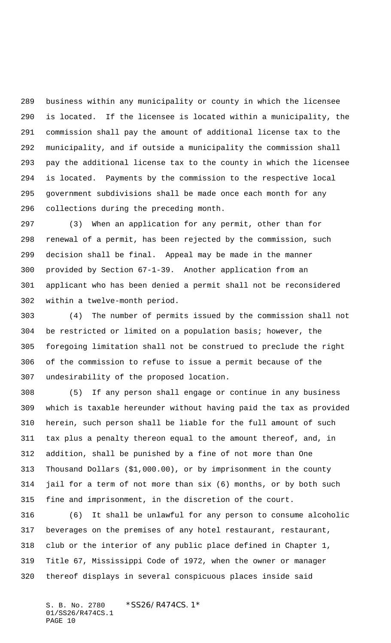business within any municipality or county in which the licensee is located. If the licensee is located within a municipality, the commission shall pay the amount of additional license tax to the municipality, and if outside a municipality the commission shall pay the additional license tax to the county in which the licensee is located. Payments by the commission to the respective local government subdivisions shall be made once each month for any collections during the preceding month.

 (3) When an application for any permit, other than for renewal of a permit, has been rejected by the commission, such decision shall be final. Appeal may be made in the manner provided by Section 67-1-39. Another application from an applicant who has been denied a permit shall not be reconsidered within a twelve-month period.

 (4) The number of permits issued by the commission shall not be restricted or limited on a population basis; however, the foregoing limitation shall not be construed to preclude the right of the commission to refuse to issue a permit because of the undesirability of the proposed location.

 (5) If any person shall engage or continue in any business which is taxable hereunder without having paid the tax as provided herein, such person shall be liable for the full amount of such tax plus a penalty thereon equal to the amount thereof, and, in addition, shall be punished by a fine of not more than One Thousand Dollars (\$1,000.00), or by imprisonment in the county jail for a term of not more than six (6) months, or by both such fine and imprisonment, in the discretion of the court.

 (6) It shall be unlawful for any person to consume alcoholic beverages on the premises of any hotel restaurant, restaurant, club or the interior of any public place defined in Chapter 1, Title 67, Mississippi Code of 1972, when the owner or manager thereof displays in several conspicuous places inside said

S. B. No. 2780 \* SS26/R474CS. 1\* 01/SS26/R474CS.1 PAGE 10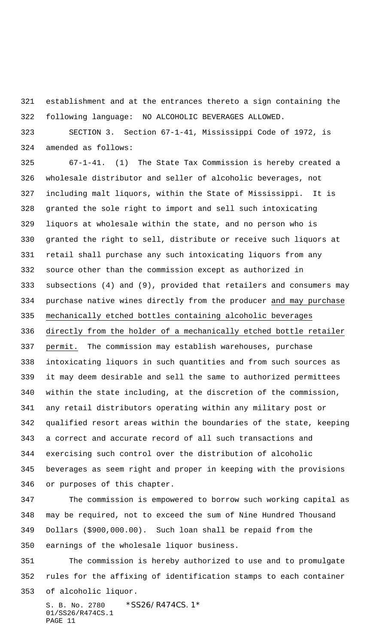establishment and at the entrances thereto a sign containing the following language: NO ALCOHOLIC BEVERAGES ALLOWED.

 SECTION 3. Section 67-1-41, Mississippi Code of 1972, is amended as follows:

 67-1-41. (1) The State Tax Commission is hereby created a wholesale distributor and seller of alcoholic beverages, not including malt liquors, within the State of Mississippi. It is granted the sole right to import and sell such intoxicating liquors at wholesale within the state, and no person who is granted the right to sell, distribute or receive such liquors at retail shall purchase any such intoxicating liquors from any source other than the commission except as authorized in subsections (4) and (9), provided that retailers and consumers may purchase native wines directly from the producer and may purchase mechanically etched bottles containing alcoholic beverages directly from the holder of a mechanically etched bottle retailer permit. The commission may establish warehouses, purchase intoxicating liquors in such quantities and from such sources as it may deem desirable and sell the same to authorized permittees within the state including, at the discretion of the commission, any retail distributors operating within any military post or qualified resort areas within the boundaries of the state, keeping a correct and accurate record of all such transactions and exercising such control over the distribution of alcoholic beverages as seem right and proper in keeping with the provisions or purposes of this chapter.

 The commission is empowered to borrow such working capital as may be required, not to exceed the sum of Nine Hundred Thousand Dollars (\$900,000.00). Such loan shall be repaid from the earnings of the wholesale liquor business.

 The commission is hereby authorized to use and to promulgate rules for the affixing of identification stamps to each container of alcoholic liquor.

S. B. No. 2780 \*SS26/R474CS. 1\* 01/SS26/R474CS.1 PAGE 11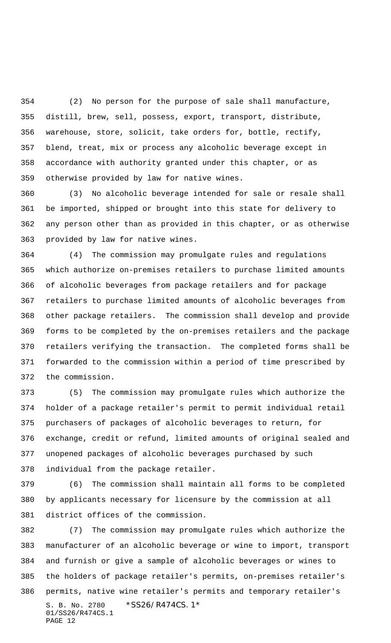(2) No person for the purpose of sale shall manufacture, distill, brew, sell, possess, export, transport, distribute, warehouse, store, solicit, take orders for, bottle, rectify, blend, treat, mix or process any alcoholic beverage except in accordance with authority granted under this chapter, or as otherwise provided by law for native wines.

 (3) No alcoholic beverage intended for sale or resale shall be imported, shipped or brought into this state for delivery to any person other than as provided in this chapter, or as otherwise provided by law for native wines.

 (4) The commission may promulgate rules and regulations which authorize on-premises retailers to purchase limited amounts of alcoholic beverages from package retailers and for package retailers to purchase limited amounts of alcoholic beverages from other package retailers. The commission shall develop and provide forms to be completed by the on-premises retailers and the package retailers verifying the transaction. The completed forms shall be forwarded to the commission within a period of time prescribed by the commission.

 (5) The commission may promulgate rules which authorize the holder of a package retailer's permit to permit individual retail purchasers of packages of alcoholic beverages to return, for exchange, credit or refund, limited amounts of original sealed and unopened packages of alcoholic beverages purchased by such individual from the package retailer.

 (6) The commission shall maintain all forms to be completed by applicants necessary for licensure by the commission at all district offices of the commission.

S. B. No. 2780 \* SS26/R474CS. 1\* 01/SS26/R474CS.1 PAGE 12 (7) The commission may promulgate rules which authorize the manufacturer of an alcoholic beverage or wine to import, transport and furnish or give a sample of alcoholic beverages or wines to the holders of package retailer's permits, on-premises retailer's permits, native wine retailer's permits and temporary retailer's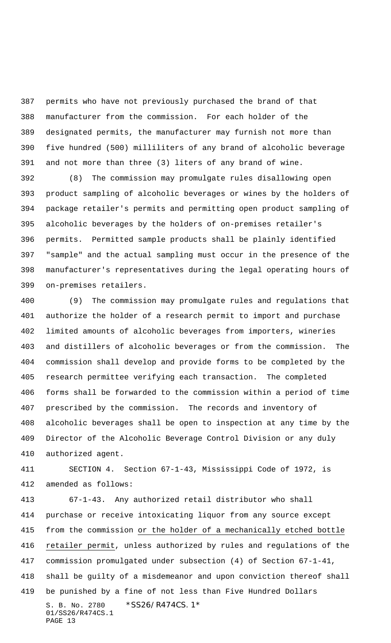permits who have not previously purchased the brand of that manufacturer from the commission. For each holder of the designated permits, the manufacturer may furnish not more than five hundred (500) milliliters of any brand of alcoholic beverage and not more than three (3) liters of any brand of wine.

 (8) The commission may promulgate rules disallowing open product sampling of alcoholic beverages or wines by the holders of package retailer's permits and permitting open product sampling of alcoholic beverages by the holders of on-premises retailer's permits. Permitted sample products shall be plainly identified "sample" and the actual sampling must occur in the presence of the manufacturer's representatives during the legal operating hours of on-premises retailers.

 (9) The commission may promulgate rules and regulations that authorize the holder of a research permit to import and purchase limited amounts of alcoholic beverages from importers, wineries and distillers of alcoholic beverages or from the commission. The commission shall develop and provide forms to be completed by the research permittee verifying each transaction. The completed forms shall be forwarded to the commission within a period of time prescribed by the commission. The records and inventory of alcoholic beverages shall be open to inspection at any time by the Director of the Alcoholic Beverage Control Division or any duly authorized agent.

 SECTION 4. Section 67-1-43, Mississippi Code of 1972, is amended as follows:

S. B. No. 2780 \*SS26/R474CS. 1\* 01/SS26/R474CS.1 PAGE 13 67-1-43. Any authorized retail distributor who shall purchase or receive intoxicating liquor from any source except from the commission or the holder of a mechanically etched bottle retailer permit, unless authorized by rules and regulations of the commission promulgated under subsection (4) of Section 67-1-41, shall be guilty of a misdemeanor and upon conviction thereof shall be punished by a fine of not less than Five Hundred Dollars